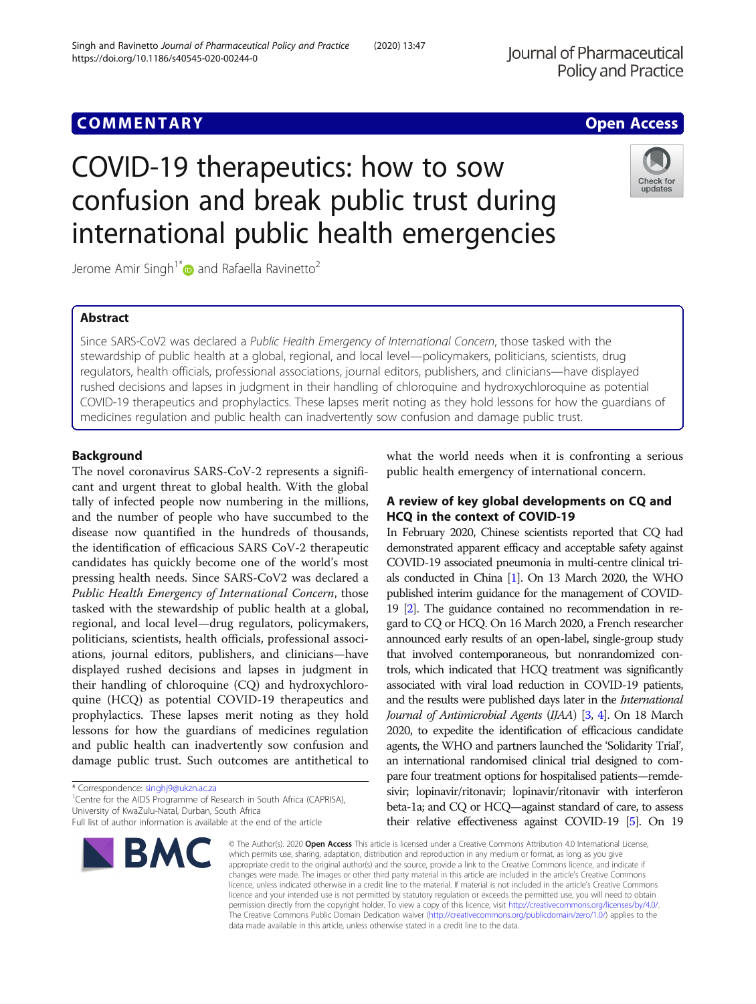# COVID-19 therapeutics: how to sow confusion and break public trust during international public health emergencies

Jerome Amir Singh<sup>1\*</sup> and Rafaella Ravinetto<sup>2</sup>

# Abstract

Since SARS-CoV2 was declared a Public Health Emergency of International Concern, those tasked with the stewardship of public health at a global, regional, and local level—policymakers, politicians, scientists, drug regulators, health officials, professional associations, journal editors, publishers, and clinicians—have displayed rushed decisions and lapses in judgment in their handling of chloroquine and hydroxychloroquine as potential COVID-19 therapeutics and prophylactics. These lapses merit noting as they hold lessons for how the guardians of medicines regulation and public health can inadvertently sow confusion and damage public trust.

# Background

The novel coronavirus SARS-CoV-2 represents a significant and urgent threat to global health. With the global tally of infected people now numbering in the millions, and the number of people who have succumbed to the disease now quantified in the hundreds of thousands, the identification of efficacious SARS CoV-2 therapeutic candidates has quickly become one of the world's most pressing health needs. Since SARS-CoV2 was declared a Public Health Emergency of International Concern, those tasked with the stewardship of public health at a global, regional, and local level—drug regulators, policymakers, politicians, scientists, health officials, professional associations, journal editors, publishers, and clinicians—have displayed rushed decisions and lapses in judgment in their handling of chloroquine (CQ) and hydroxychloroquine (HCQ) as potential COVID-19 therapeutics and prophylactics. These lapses merit noting as they hold lessons for how the guardians of medicines regulation and public health can inadvertently sow confusion and damage public trust. Such outcomes are antithetical to

\* Correspondence: [singhj9@ukzn.ac.za](mailto:singhj9@ukzn.ac.za) <sup>1</sup>

**BMC** 

<sup>1</sup> Centre for the AIDS Programme of Research in South Africa (CAPRISA), University of KwaZulu-Natal, Durban, South Africa

what the world needs when it is confronting a serious public health emergency of international concern.

# A review of key global developments on CQ and HCQ in the context of COVID-19

In February 2020, Chinese scientists reported that CQ had demonstrated apparent efficacy and acceptable safety against COVID-19 associated pneumonia in multi-centre clinical trials conducted in China [[1](#page-4-0)]. On 13 March 2020, the WHO published interim guidance for the management of COVID-19 [\[2](#page-4-0)]. The guidance contained no recommendation in regard to CQ or HCQ. On 16 March 2020, a French researcher announced early results of an open-label, single-group study that involved contemporaneous, but nonrandomized controls, which indicated that HCQ treatment was significantly associated with viral load reduction in COVID-19 patients, and the results were published days later in the International Journal of Antimicrobial Agents (IJAA) [\[3,](#page-4-0) [4\]](#page-4-0). On 18 March 2020, to expedite the identification of efficacious candidate agents, the WHO and partners launched the 'Solidarity Trial', an international randomised clinical trial designed to compare four treatment options for hospitalised patients—remdesivir; lopinavir/ritonavir; lopinavir/ritonavir with interferon beta-1a; and CQ or HCQ—against standard of care, to assess their relative effectiveness against COVID-19 [\[5\]](#page-4-0). On 19

© The Author(s), 2020 **Open Access** This article is licensed under a Creative Commons Attribution 4.0 International License, which permits use, sharing, adaptation, distribution and reproduction in any medium or format, as long as you give appropriate credit to the original author(s) and the source, provide a link to the Creative Commons licence, and indicate if changes were made. The images or other third party material in this article are included in the article's Creative Commons licence, unless indicated otherwise in a credit line to the material. If material is not included in the article's Creative Commons licence and your intended use is not permitted by statutory regulation or exceeds the permitted use, you will need to obtain permission directly from the copyright holder. To view a copy of this licence, visit [http://creativecommons.org/licenses/by/4.0/.](http://creativecommons.org/licenses/by/4.0/) The Creative Commons Public Domain Dedication waiver [\(http://creativecommons.org/publicdomain/zero/1.0/](http://creativecommons.org/publicdomain/zero/1.0/)) applies to the data made available in this article, unless otherwise stated in a credit line to the data.





Full list of author information is available at the end of the article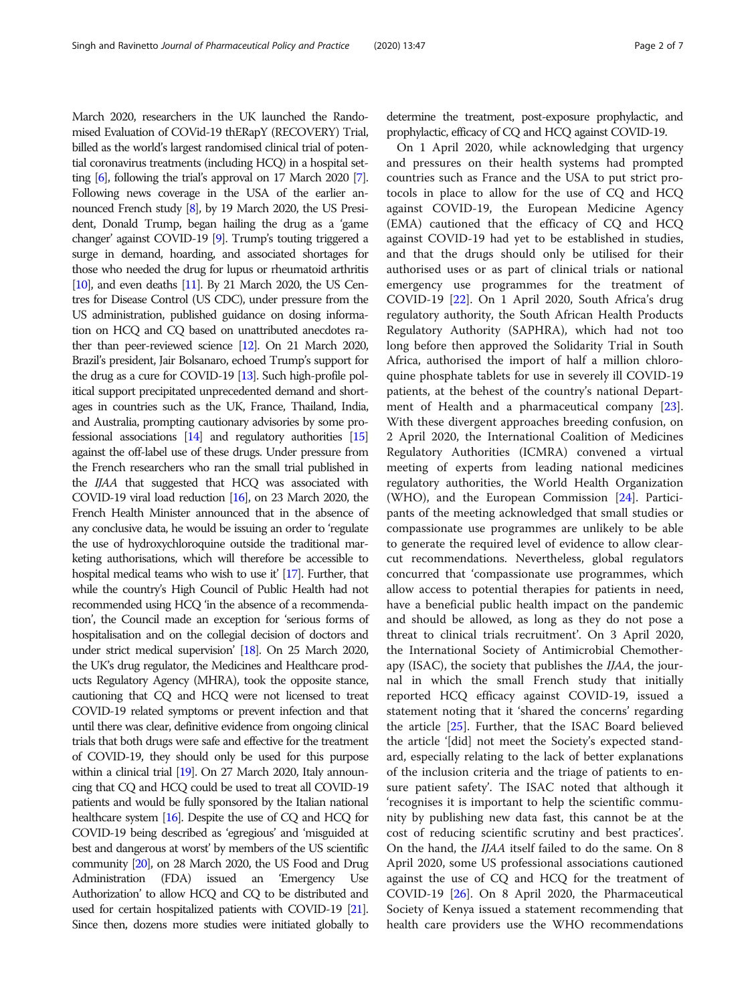March 2020, researchers in the UK launched the Randomised Evaluation of COVid-19 thERapY (RECOVERY) Trial, billed as the world's largest randomised clinical trial of potential coronavirus treatments (including HCQ) in a hospital setting [\[6\]](#page-4-0), following the trial's approval on 17 March 2020 [\[7\]](#page-4-0). Following news coverage in the USA of the earlier announced French study [\[8\]](#page-4-0), by 19 March 2020, the US President, Donald Trump, began hailing the drug as a 'game changer' against COVID-19 [\[9\]](#page-4-0). Trump's touting triggered a surge in demand, hoarding, and associated shortages for those who needed the drug for lupus or rheumatoid arthritis [ $10$ ], and even deaths [ $11$ ]. By 21 March 2020, the US Centres for Disease Control (US CDC), under pressure from the US administration, published guidance on dosing information on HCQ and CQ based on unattributed anecdotes rather than peer-reviewed science [\[12\]](#page-4-0). On 21 March 2020, Brazil's president, Jair Bolsanaro, echoed Trump's support for the drug as a cure for COVID-19 [\[13](#page-5-0)]. Such high-profile political support precipitated unprecedented demand and shortages in countries such as the UK, France, Thailand, India, and Australia, prompting cautionary advisories by some professional associations [\[14\]](#page-5-0) and regulatory authorities [\[15](#page-5-0)] against the off-label use of these drugs. Under pressure from the French researchers who ran the small trial published in the IJAA that suggested that HCQ was associated with COVID-19 viral load reduction [\[16\]](#page-5-0), on 23 March 2020, the French Health Minister announced that in the absence of any conclusive data, he would be issuing an order to 'regulate the use of hydroxychloroquine outside the traditional marketing authorisations, which will therefore be accessible to hospital medical teams who wish to use it' [\[17](#page-5-0)]. Further, that while the country's High Council of Public Health had not recommended using HCQ 'in the absence of a recommendation', the Council made an exception for 'serious forms of hospitalisation and on the collegial decision of doctors and under strict medical supervision' [\[18](#page-5-0)]. On 25 March 2020, the UK's drug regulator, the Medicines and Healthcare products Regulatory Agency (MHRA), took the opposite stance, cautioning that CQ and HCQ were not licensed to treat COVID-19 related symptoms or prevent infection and that until there was clear, definitive evidence from ongoing clinical trials that both drugs were safe and effective for the treatment of COVID-19, they should only be used for this purpose within a clinical trial [\[19\]](#page-5-0). On 27 March 2020, Italy announcing that CQ and HCQ could be used to treat all COVID-19 patients and would be fully sponsored by the Italian national healthcare system [\[16\]](#page-5-0). Despite the use of CQ and HCQ for COVID-19 being described as 'egregious' and 'misguided at best and dangerous at worst' by members of the US scientific community [[20\]](#page-5-0), on 28 March 2020, the US Food and Drug Administration (FDA) issued an 'Emergency Use Authorization' to allow HCQ and CQ to be distributed and used for certain hospitalized patients with COVID-19 [\[21\]](#page-5-0). Since then, dozens more studies were initiated globally to determine the treatment, post-exposure prophylactic, and prophylactic, efficacy of CQ and HCQ against COVID-19.

On 1 April 2020, while acknowledging that urgency and pressures on their health systems had prompted countries such as France and the USA to put strict protocols in place to allow for the use of CQ and HCQ against COVID-19, the European Medicine Agency (EMA) cautioned that the efficacy of CQ and HCQ against COVID-19 had yet to be established in studies, and that the drugs should only be utilised for their authorised uses or as part of clinical trials or national emergency use programmes for the treatment of COVID-19 [\[22](#page-5-0)]. On 1 April 2020, South Africa's drug regulatory authority, the South African Health Products Regulatory Authority (SAPHRA), which had not too long before then approved the Solidarity Trial in South Africa, authorised the import of half a million chloroquine phosphate tablets for use in severely ill COVID-19 patients, at the behest of the country's national Department of Health and a pharmaceutical company [\[23](#page-5-0)]. With these divergent approaches breeding confusion, on 2 April 2020, the International Coalition of Medicines Regulatory Authorities (ICMRA) convened a virtual meeting of experts from leading national medicines regulatory authorities, the World Health Organization (WHO), and the European Commission [[24\]](#page-5-0). Participants of the meeting acknowledged that small studies or compassionate use programmes are unlikely to be able to generate the required level of evidence to allow clearcut recommendations. Nevertheless, global regulators concurred that 'compassionate use programmes, which allow access to potential therapies for patients in need, have a beneficial public health impact on the pandemic and should be allowed, as long as they do not pose a threat to clinical trials recruitment'. On 3 April 2020, the International Society of Antimicrobial Chemotherapy (ISAC), the society that publishes the IJAA, the journal in which the small French study that initially reported HCQ efficacy against COVID-19, issued a statement noting that it 'shared the concerns' regarding the article [\[25\]](#page-5-0). Further, that the ISAC Board believed the article '[did] not meet the Society's expected standard, especially relating to the lack of better explanations of the inclusion criteria and the triage of patients to ensure patient safety'. The ISAC noted that although it 'recognises it is important to help the scientific community by publishing new data fast, this cannot be at the cost of reducing scientific scrutiny and best practices'. On the hand, the IJAA itself failed to do the same. On 8 April 2020, some US professional associations cautioned against the use of CQ and HCQ for the treatment of COVID-19 [[26](#page-5-0)]. On 8 April 2020, the Pharmaceutical Society of Kenya issued a statement recommending that health care providers use the WHO recommendations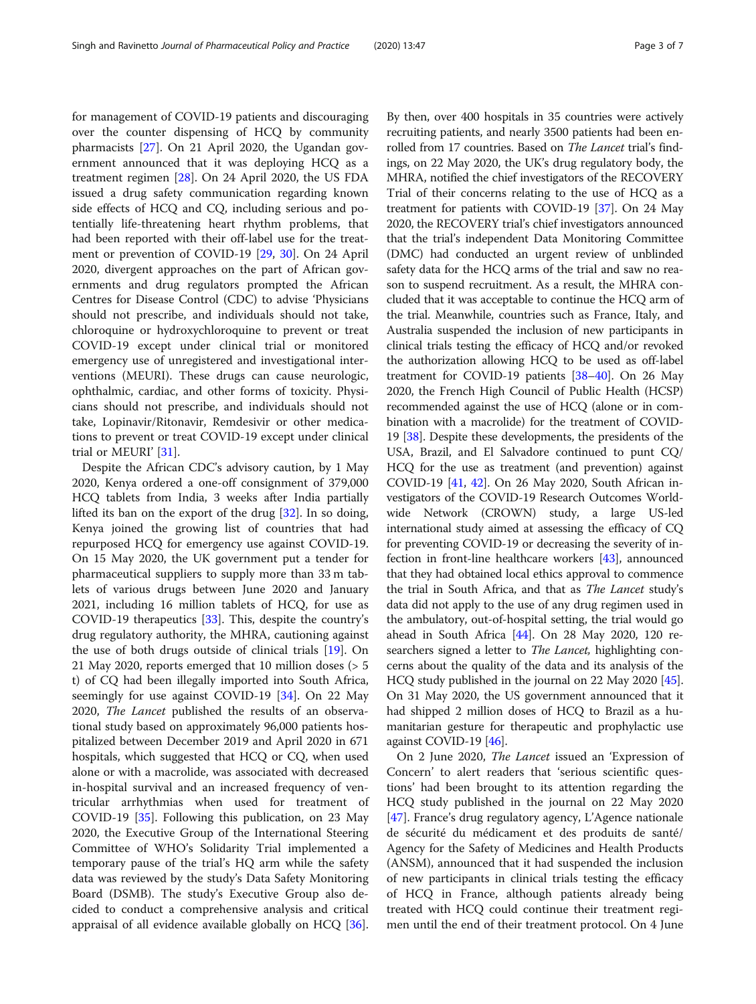for management of COVID-19 patients and discouraging over the counter dispensing of HCQ by community pharmacists [[27\]](#page-5-0). On 21 April 2020, the Ugandan government announced that it was deploying HCQ as a treatment regimen [\[28](#page-5-0)]. On 24 April 2020, the US FDA issued a drug safety communication regarding known side effects of HCQ and CQ, including serious and potentially life-threatening heart rhythm problems, that had been reported with their off-label use for the treatment or prevention of COVID-19 [[29,](#page-5-0) [30](#page-5-0)]. On 24 April 2020, divergent approaches on the part of African governments and drug regulators prompted the African Centres for Disease Control (CDC) to advise 'Physicians should not prescribe, and individuals should not take, chloroquine or hydroxychloroquine to prevent or treat COVID-19 except under clinical trial or monitored emergency use of unregistered and investigational interventions (MEURI). These drugs can cause neurologic, ophthalmic, cardiac, and other forms of toxicity. Physicians should not prescribe, and individuals should not take, Lopinavir/Ritonavir, Remdesivir or other medications to prevent or treat COVID-19 except under clinical trial or MEURI' [[31\]](#page-5-0).

Despite the African CDC's advisory caution, by 1 May 2020, Kenya ordered a one-off consignment of 379,000 HCQ tablets from India, 3 weeks after India partially lifted its ban on the export of the drug [\[32\]](#page-5-0). In so doing, Kenya joined the growing list of countries that had repurposed HCQ for emergency use against COVID-19. On 15 May 2020, the UK government put a tender for pharmaceutical suppliers to supply more than 33 m tablets of various drugs between June 2020 and January 2021, including 16 million tablets of HCQ, for use as COVID-19 therapeutics [[33\]](#page-5-0). This, despite the country's drug regulatory authority, the MHRA, cautioning against the use of both drugs outside of clinical trials [\[19](#page-5-0)]. On 21 May 2020, reports emerged that 10 million doses (> 5 t) of CQ had been illegally imported into South Africa, seemingly for use against COVID-19 [\[34\]](#page-5-0). On 22 May 2020, The Lancet published the results of an observational study based on approximately 96,000 patients hospitalized between December 2019 and April 2020 in 671 hospitals, which suggested that HCQ or CQ, when used alone or with a macrolide, was associated with decreased in-hospital survival and an increased frequency of ventricular arrhythmias when used for treatment of COVID-19 [[35\]](#page-5-0). Following this publication, on 23 May 2020, the Executive Group of the International Steering Committee of WHO's Solidarity Trial implemented a temporary pause of the trial's HQ arm while the safety data was reviewed by the study's Data Safety Monitoring Board (DSMB). The study's Executive Group also decided to conduct a comprehensive analysis and critical appraisal of all evidence available globally on HCQ [\[36](#page-5-0)].

By then, over 400 hospitals in 35 countries were actively recruiting patients, and nearly 3500 patients had been enrolled from 17 countries. Based on The Lancet trial's findings, on 22 May 2020, the UK's drug regulatory body, the MHRA, notified the chief investigators of the RECOVERY Trial of their concerns relating to the use of HCQ as a treatment for patients with COVID-19 [[37](#page-5-0)]. On 24 May 2020, the RECOVERY trial's chief investigators announced that the trial's independent Data Monitoring Committee (DMC) had conducted an urgent review of unblinded safety data for the HCQ arms of the trial and saw no reason to suspend recruitment. As a result, the MHRA concluded that it was acceptable to continue the HCQ arm of the trial. Meanwhile, countries such as France, Italy, and Australia suspended the inclusion of new participants in clinical trials testing the efficacy of HCQ and/or revoked the authorization allowing HCQ to be used as off-label treatment for COVID-19 patients [\[38](#page-5-0)–[40\]](#page-5-0). On 26 May 2020, the French High Council of Public Health (HCSP) recommended against the use of HCQ (alone or in combination with a macrolide) for the treatment of COVID-19 [\[38](#page-5-0)]. Despite these developments, the presidents of the USA, Brazil, and El Salvadore continued to punt CQ/ HCQ for the use as treatment (and prevention) against COVID-19 [[41](#page-5-0), [42\]](#page-5-0). On 26 May 2020, South African investigators of the COVID-19 Research Outcomes Worldwide Network (CROWN) study, a large US-led international study aimed at assessing the efficacy of CQ for preventing COVID-19 or decreasing the severity of infection in front-line healthcare workers [\[43\]](#page-5-0), announced that they had obtained local ethics approval to commence the trial in South Africa, and that as The Lancet study'<sup>s</sup> data did not apply to the use of any drug regimen used in the ambulatory, out-of-hospital setting, the trial would go ahead in South Africa [[44](#page-5-0)]. On 28 May 2020, 120 researchers signed a letter to The Lancet, highlighting concerns about the quality of the data and its analysis of the HCQ study published in the journal on 22 May 2020 [[45](#page-5-0)]. On 31 May 2020, the US government announced that it had shipped 2 million doses of HCQ to Brazil as a humanitarian gesture for therapeutic and prophylactic use against COVID-19 [\[46\]](#page-6-0).

On 2 June 2020, The Lancet issued an 'Expression of Concern' to alert readers that 'serious scientific questions' had been brought to its attention regarding the HCQ study published in the journal on 22 May 2020 [[47\]](#page-6-0). France's drug regulatory agency, L'Agence nationale de sécurité du médicament et des produits de santé/ Agency for the Safety of Medicines and Health Products (ANSM), announced that it had suspended the inclusion of new participants in clinical trials testing the efficacy of HCQ in France, although patients already being treated with HCQ could continue their treatment regimen until the end of their treatment protocol. On 4 June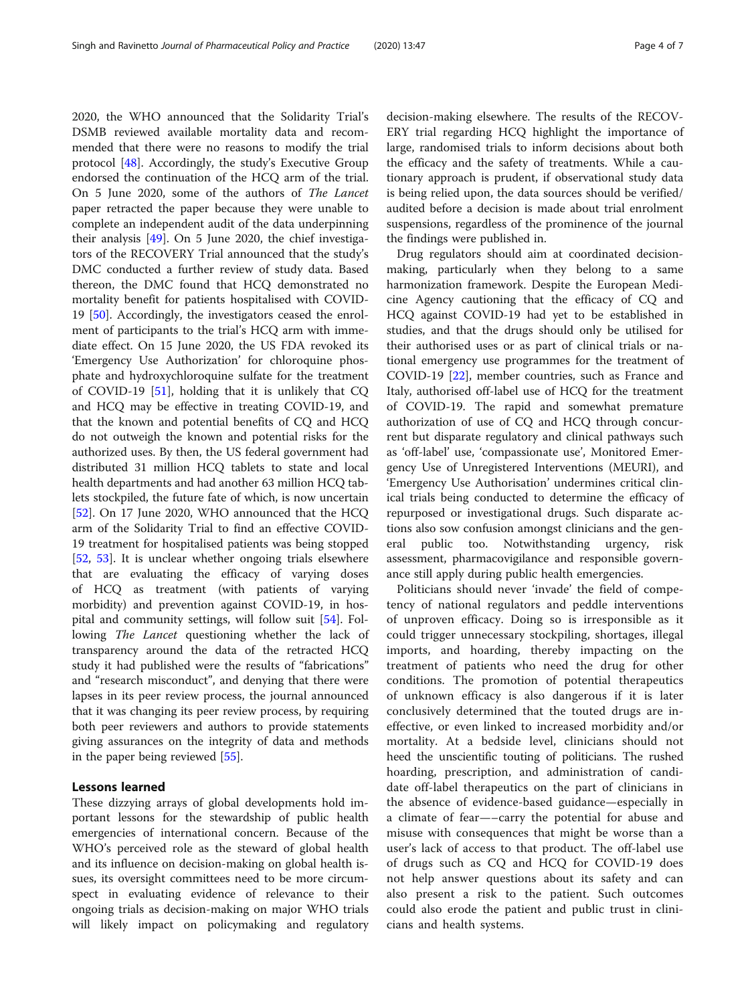2020, the WHO announced that the Solidarity Trial's DSMB reviewed available mortality data and recommended that there were no reasons to modify the trial protocol [\[48\]](#page-6-0). Accordingly, the study's Executive Group endorsed the continuation of the HCQ arm of the trial. On 5 June 2020, some of the authors of The Lancet paper retracted the paper because they were unable to complete an independent audit of the data underpinning their analysis [\[49](#page-6-0)]. On 5 June 2020, the chief investigators of the RECOVERY Trial announced that the study's DMC conducted a further review of study data. Based thereon, the DMC found that HCQ demonstrated no mortality benefit for patients hospitalised with COVID-19 [\[50](#page-6-0)]. Accordingly, the investigators ceased the enrolment of participants to the trial's HCQ arm with immediate effect. On 15 June 2020, the US FDA revoked its 'Emergency Use Authorization' for chloroquine phosphate and hydroxychloroquine sulfate for the treatment of COVID-19 [[51\]](#page-6-0), holding that it is unlikely that CQ and HCQ may be effective in treating COVID-19, and that the known and potential benefits of CQ and HCQ do not outweigh the known and potential risks for the authorized uses. By then, the US federal government had distributed 31 million HCQ tablets to state and local health departments and had another 63 million HCQ tablets stockpiled, the future fate of which, is now uncertain [[52\]](#page-6-0). On 17 June 2020, WHO announced that the HCQ arm of the Solidarity Trial to find an effective COVID-19 treatment for hospitalised patients was being stopped [[52,](#page-6-0) [53\]](#page-6-0). It is unclear whether ongoing trials elsewhere that are evaluating the efficacy of varying doses of HCQ as treatment (with patients of varying morbidity) and prevention against COVID-19, in hospital and community settings, will follow suit [\[54\]](#page-6-0). Following The Lancet questioning whether the lack of transparency around the data of the retracted HCQ study it had published were the results of "fabrications" and "research misconduct", and denying that there were lapses in its peer review process, the journal announced that it was changing its peer review process, by requiring both peer reviewers and authors to provide statements giving assurances on the integrity of data and methods in the paper being reviewed [[55](#page-6-0)].

# Lessons learned

These dizzying arrays of global developments hold important lessons for the stewardship of public health emergencies of international concern. Because of the WHO's perceived role as the steward of global health and its influence on decision-making on global health issues, its oversight committees need to be more circumspect in evaluating evidence of relevance to their ongoing trials as decision-making on major WHO trials will likely impact on policymaking and regulatory

decision-making elsewhere. The results of the RECOV-ERY trial regarding HCQ highlight the importance of large, randomised trials to inform decisions about both the efficacy and the safety of treatments. While a cautionary approach is prudent, if observational study data is being relied upon, the data sources should be verified/ audited before a decision is made about trial enrolment suspensions, regardless of the prominence of the journal the findings were published in.

Drug regulators should aim at coordinated decisionmaking, particularly when they belong to a same harmonization framework. Despite the European Medicine Agency cautioning that the efficacy of CQ and HCQ against COVID-19 had yet to be established in studies, and that the drugs should only be utilised for their authorised uses or as part of clinical trials or national emergency use programmes for the treatment of COVID-19 [[22\]](#page-5-0), member countries, such as France and Italy, authorised off-label use of HCQ for the treatment of COVID-19. The rapid and somewhat premature authorization of use of CQ and HCQ through concurrent but disparate regulatory and clinical pathways such as 'off-label' use, 'compassionate use', Monitored Emergency Use of Unregistered Interventions (MEURI), and 'Emergency Use Authorisation' undermines critical clinical trials being conducted to determine the efficacy of repurposed or investigational drugs. Such disparate actions also sow confusion amongst clinicians and the general public too. Notwithstanding urgency, risk assessment, pharmacovigilance and responsible governance still apply during public health emergencies.

Politicians should never 'invade' the field of competency of national regulators and peddle interventions of unproven efficacy. Doing so is irresponsible as it could trigger unnecessary stockpiling, shortages, illegal imports, and hoarding, thereby impacting on the treatment of patients who need the drug for other conditions. The promotion of potential therapeutics of unknown efficacy is also dangerous if it is later conclusively determined that the touted drugs are ineffective, or even linked to increased morbidity and/or mortality. At a bedside level, clinicians should not heed the unscientific touting of politicians. The rushed hoarding, prescription, and administration of candidate off-label therapeutics on the part of clinicians in the absence of evidence-based guidance—especially in a climate of fear—–carry the potential for abuse and misuse with consequences that might be worse than a user's lack of access to that product. The off-label use of drugs such as CQ and HCQ for COVID-19 does not help answer questions about its safety and can also present a risk to the patient. Such outcomes could also erode the patient and public trust in clinicians and health systems.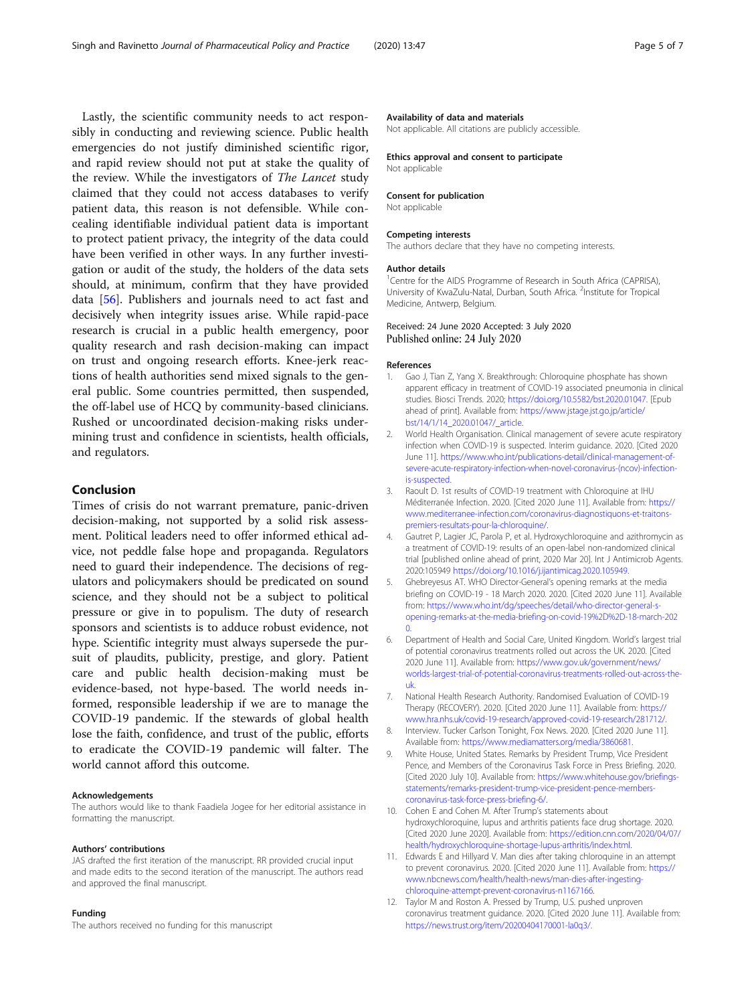<span id="page-4-0"></span>Lastly, the scientific community needs to act responsibly in conducting and reviewing science. Public health emergencies do not justify diminished scientific rigor, and rapid review should not put at stake the quality of the review. While the investigators of The Lancet study claimed that they could not access databases to verify patient data, this reason is not defensible. While concealing identifiable individual patient data is important to protect patient privacy, the integrity of the data could have been verified in other ways. In any further investigation or audit of the study, the holders of the data sets should, at minimum, confirm that they have provided data [\[56](#page-6-0)]. Publishers and journals need to act fast and decisively when integrity issues arise. While rapid-pace research is crucial in a public health emergency, poor quality research and rash decision-making can impact on trust and ongoing research efforts. Knee-jerk reactions of health authorities send mixed signals to the general public. Some countries permitted, then suspended, the off-label use of HCQ by community-based clinicians. Rushed or uncoordinated decision-making risks undermining trust and confidence in scientists, health officials, and regulators.

# Conclusion

Times of crisis do not warrant premature, panic-driven decision-making, not supported by a solid risk assessment. Political leaders need to offer informed ethical advice, not peddle false hope and propaganda. Regulators need to guard their independence. The decisions of regulators and policymakers should be predicated on sound science, and they should not be a subject to political pressure or give in to populism. The duty of research sponsors and scientists is to adduce robust evidence, not hype. Scientific integrity must always supersede the pursuit of plaudits, publicity, prestige, and glory. Patient care and public health decision-making must be evidence-based, not hype-based. The world needs informed, responsible leadership if we are to manage the COVID-19 pandemic. If the stewards of global health lose the faith, confidence, and trust of the public, efforts to eradicate the COVID-19 pandemic will falter. The world cannot afford this outcome.

# Acknowledgements

The authors would like to thank Faadiela Jogee for her editorial assistance in formatting the manuscript.

### Authors' contributions

JAS drafted the first iteration of the manuscript. RR provided crucial input and made edits to the second iteration of the manuscript. The authors read and approved the final manuscript.

# Funding

The authors received no funding for this manuscript

#### Availability of data and materials

Not applicable. All citations are publicly accessible.

## Ethics approval and consent to participate

Not applicable

#### Consent for publication

Not applicable

## Competing interests

The authors declare that they have no competing interests.

#### Author details

<sup>1</sup> Centre for the AIDS Programme of Research in South Africa (CAPRISA), University of KwaZulu-Natal, Durban, South Africa. <sup>2</sup>Institute for Tropical Medicine, Antwerp, Belgium.

Received: 24 June 2020 Accepted: 3 July 2020 Published online: 24 July 2020

# References

- 1. Gao J, Tian Z, Yang X. Breakthrough: Chloroquine phosphate has shown apparent efficacy in treatment of COVID-19 associated pneumonia in clinical studies. Biosci Trends. 2020; <https://doi.org/10.5582/bst.2020.01047>. [Epub ahead of print]. Available from: [https://www.jstage.jst.go.jp/article/](https://www.jstage.jst.go.jp/article/bst/14/1/14_2020.01047/_article) [bst/14/1/14\\_2020.01047/\\_article](https://www.jstage.jst.go.jp/article/bst/14/1/14_2020.01047/_article).
- 2. World Health Organisation. Clinical management of severe acute respiratory infection when COVID-19 is suspected. Interim guidance. 2020. [Cited 2020 June 11]. [https://www.who.int/publications-detail/clinical-management-of](https://www.who.int/publications-detail/clinical-management-of-severe-acute-respiratory-infection-when-novel-coronavirus-(ncov)-infection-is-suspected)[severe-acute-respiratory-infection-when-novel-coronavirus-\(ncov\)-infection](https://www.who.int/publications-detail/clinical-management-of-severe-acute-respiratory-infection-when-novel-coronavirus-(ncov)-infection-is-suspected)[is-suspected.](https://www.who.int/publications-detail/clinical-management-of-severe-acute-respiratory-infection-when-novel-coronavirus-(ncov)-infection-is-suspected)
- 3. Raoult D. 1st results of COVID-19 treatment with Chloroquine at IHU Méditerranée Infection. 2020. [Cited 2020 June 11]. Available from: [https://](https://www.mediterranee-infection.com/coronavirus-diagnostiquons-et-traitons-premiers-resultats-pour-la-chloroquine/) [www.mediterranee-infection.com/coronavirus-diagnostiquons-et-traitons](https://www.mediterranee-infection.com/coronavirus-diagnostiquons-et-traitons-premiers-resultats-pour-la-chloroquine/)[premiers-resultats-pour-la-chloroquine/.](https://www.mediterranee-infection.com/coronavirus-diagnostiquons-et-traitons-premiers-resultats-pour-la-chloroquine/)
- 4. Gautret P, Lagier JC, Parola P, et al. Hydroxychloroquine and azithromycin as a treatment of COVID-19: results of an open-label non-randomized clinical trial [published online ahead of print, 2020 Mar 20]. Int J Antimicrob Agents. 2020:105949 [https://doi.org/10.1016/j.ijantimicag.2020.105949.](https://doi.org/10.1016/j.ijantimicag.2020.105949)
- 5. Ghebreyesus AT. WHO Director-General's opening remarks at the media briefing on COVID-19 - 18 March 2020. 2020. [Cited 2020 June 11]. Available from: [https://www.who.int/dg/speeches/detail/who-director-general-s](https://www.who.int/dg/speeches/detail/who-director-general-s-opening-remarks-at-the-media-briefing-on-covid-19%2D%2D-18-march-2020)[opening-remarks-at-the-media-briefing-on-covid-19%2D%2D-18-march-202](https://www.who.int/dg/speeches/detail/who-director-general-s-opening-remarks-at-the-media-briefing-on-covid-19%2D%2D-18-march-2020) [0](https://www.who.int/dg/speeches/detail/who-director-general-s-opening-remarks-at-the-media-briefing-on-covid-19%2D%2D-18-march-2020).
- 6. Department of Health and Social Care, United Kingdom. World's largest trial of potential coronavirus treatments rolled out across the UK. 2020. [Cited 2020 June 11]. Available from: [https://www.gov.uk/government/news/](https://www.gov.uk/government/news/worlds-largest-trial-of-potential-coronavirus-treatments-rolled-out-across-the-uk) [worlds-largest-trial-of-potential-coronavirus-treatments-rolled-out-across-the](https://www.gov.uk/government/news/worlds-largest-trial-of-potential-coronavirus-treatments-rolled-out-across-the-uk)[uk](https://www.gov.uk/government/news/worlds-largest-trial-of-potential-coronavirus-treatments-rolled-out-across-the-uk).
- 7. National Health Research Authority. Randomised Evaluation of COVID-19 Therapy (RECOVERY). 2020. [Cited 2020 June 11]. Available from: [https://](https://www.hra.nhs.uk/covid-19-research/approved-covid-19-research/281712/) [www.hra.nhs.uk/covid-19-research/approved-covid-19-research/281712/](https://www.hra.nhs.uk/covid-19-research/approved-covid-19-research/281712/).
- 8. Interview. Tucker Carlson Tonight, Fox News. 2020. [Cited 2020 June 11]. Available from: [https://www.mediamatters.org/media/3860681.](https://www.mediamatters.org/media/3860681)
- 9. White House, United States. Remarks by President Trump, Vice President Pence, and Members of the Coronavirus Task Force in Press Briefing. 2020. [Cited 2020 July 10]. Available from: [https://www.whitehouse.gov/briefings](https://www.whitehouse.gov/briefings-statements/remarks-president-trump-vice-president-pence-members-coronavirus-task-force-press-briefing-6/)[statements/remarks-president-trump-vice-president-pence-members](https://www.whitehouse.gov/briefings-statements/remarks-president-trump-vice-president-pence-members-coronavirus-task-force-press-briefing-6/)[coronavirus-task-force-press-briefing-6/](https://www.whitehouse.gov/briefings-statements/remarks-president-trump-vice-president-pence-members-coronavirus-task-force-press-briefing-6/).
- 10. Cohen E and Cohen M. After Trump's statements about hydroxychloroquine, lupus and arthritis patients face drug shortage. 2020. [Cited 2020 June 2020]. Available from: [https://edition.cnn.com/2020/04/07/](https://edition.cnn.com/2020/04/07/health/hydroxychloroquine-shortage-lupus-arthritis/index.html) [health/hydroxychloroquine-shortage-lupus-arthritis/index.html.](https://edition.cnn.com/2020/04/07/health/hydroxychloroquine-shortage-lupus-arthritis/index.html)
- 11. Edwards E and Hillyard V. Man dies after taking chloroquine in an attempt to prevent coronavirus. 2020. [Cited 2020 June 11]. Available from: [https://](https://www.nbcnews.com/health/health-news/man-dies-after-ingesting-chloroquine-attempt-prevent-coronavirus-n1167166) [www.nbcnews.com/health/health-news/man-dies-after-ingesting](https://www.nbcnews.com/health/health-news/man-dies-after-ingesting-chloroquine-attempt-prevent-coronavirus-n1167166)[chloroquine-attempt-prevent-coronavirus-n1167166](https://www.nbcnews.com/health/health-news/man-dies-after-ingesting-chloroquine-attempt-prevent-coronavirus-n1167166).
- 12. Taylor M and Roston A. Pressed by Trump, U.S. pushed unproven coronavirus treatment guidance. 2020. [Cited 2020 June 11]. Available from: <https://news.trust.org/item/20200404170001-la0q3/>.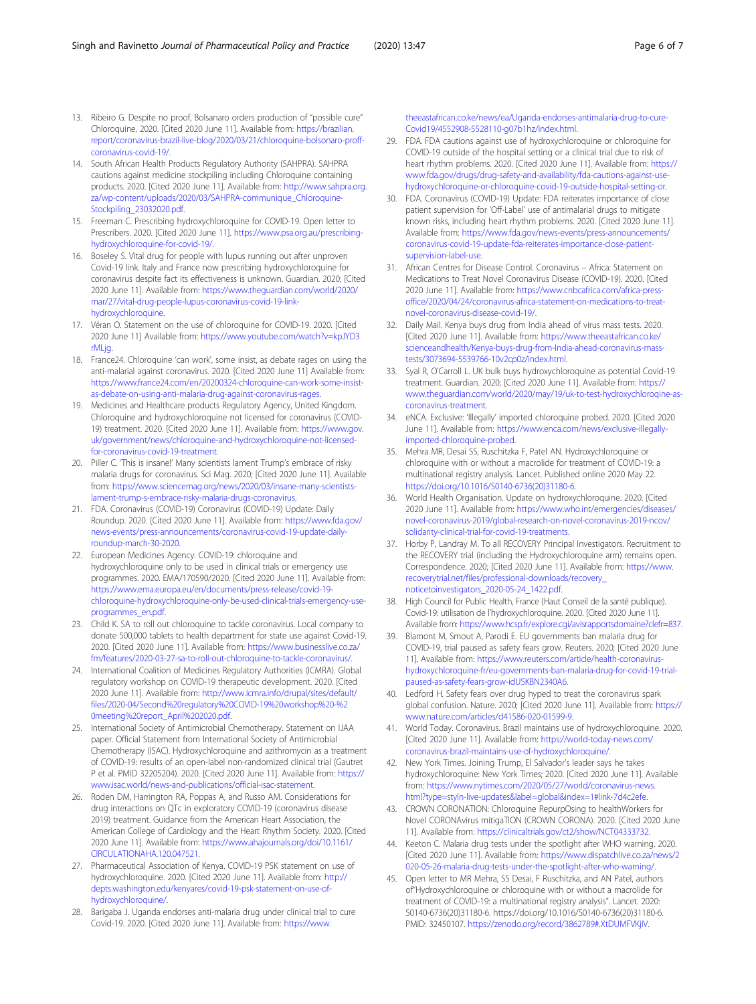- <span id="page-5-0"></span>13. Ribeiro G. Despite no proof, Bolsanaro orders production of "possible cure" Chloroquine. 2020. [Cited 2020 June 11]. Available from: [https://brazilian.](https://brazilian.report/coronavirus-brazil-live-blog/2020/03/21/chloroquine-bolsonaro-proff-coronavirus-covid-19/) [report/coronavirus-brazil-live-blog/2020/03/21/chloroquine-bolsonaro-proff](https://brazilian.report/coronavirus-brazil-live-blog/2020/03/21/chloroquine-bolsonaro-proff-coronavirus-covid-19/)[coronavirus-covid-19/](https://brazilian.report/coronavirus-brazil-live-blog/2020/03/21/chloroquine-bolsonaro-proff-coronavirus-covid-19/).
- 14. South African Health Products Regulatory Authority (SAHPRA). SAHPRA cautions against medicine stockpiling including Chloroquine containing products. 2020. [Cited 2020 June 11]. Available from: [http://www.sahpra.org.](http://www.sahpra.org.za/wp-content/uploads/2020/03/SAHPRA-communique_Chloroquine-Stockpiling_23032020.pdf) [za/wp-content/uploads/2020/03/SAHPRA-communique\\_Chloroquine-](http://www.sahpra.org.za/wp-content/uploads/2020/03/SAHPRA-communique_Chloroquine-Stockpiling_23032020.pdf)[Stockpiling\\_23032020.pdf.](http://www.sahpra.org.za/wp-content/uploads/2020/03/SAHPRA-communique_Chloroquine-Stockpiling_23032020.pdf)
- 15. Freeman C. Prescribing hydroxychloroquine for COVID-19. Open letter to Prescribers. 2020. [Cited 2020 June 11]. [https://www.psa.org.au/prescribing](https://www.psa.org.au/prescribing-hydroxychloroquine-for-covid-19/)[hydroxychloroquine-for-covid-19/](https://www.psa.org.au/prescribing-hydroxychloroquine-for-covid-19/).
- 16. Boseley S. Vital drug for people with lupus running out after unproven Covid-19 link. Italy and France now prescribing hydroxychloroquine for coronavirus despite fact its effectiveness is unknown. Guardian. 2020; [Cited 2020 June 11]. Available from: [https://www.theguardian.com/world/2020/](https://www.theguardian.com/world/2020/mar/27/vital-drug-people-lupus-coronavirus-covid-19-link-hydroxychloroquine) [mar/27/vital-drug-people-lupus-coronavirus-covid-19-link](https://www.theguardian.com/world/2020/mar/27/vital-drug-people-lupus-coronavirus-covid-19-link-hydroxychloroquine)[hydroxychloroquine.](https://www.theguardian.com/world/2020/mar/27/vital-drug-people-lupus-coronavirus-covid-19-link-hydroxychloroquine)
- 17. Véran O. Statement on the use of chloroquine for COVID-19. 2020. [Cited 2020 June 11] Available from: [https://www.youtube.com/watch?v=kpJYD3](https://www.youtube.com/watch?v=kpJYD3rMLjg) [rMLjg.](https://www.youtube.com/watch?v=kpJYD3rMLjg)
- 18. France24. Chloroquine 'can work', some insist, as debate rages on using the anti-malarial against coronavirus. 2020. [Cited 2020 June 11] Available from: [https://www.france24.com/en/20200324-chloroquine-can-work-some-insist](https://www.france24.com/en/20200324-chloroquine-can-work-some-insist-as-debate-on-using-anti-malaria-drug-against-coronavirus-rages)[as-debate-on-using-anti-malaria-drug-against-coronavirus-rages.](https://www.france24.com/en/20200324-chloroquine-can-work-some-insist-as-debate-on-using-anti-malaria-drug-against-coronavirus-rages)
- 19. Medicines and Healthcare products Regulatory Agency, United Kingdom. Chloroquine and hydroxychloroquine not licensed for coronavirus (COVID-19) treatment. 2020. [Cited 2020 June 11]. Available from: [https://www.gov.](https://www.gov.uk/government/news/chloroquine-and-hydroxychloroquine-not-licensed-for-coronavirus-covid-19-treatment) [uk/government/news/chloroquine-and-hydroxychloroquine-not-licensed](https://www.gov.uk/government/news/chloroquine-and-hydroxychloroquine-not-licensed-for-coronavirus-covid-19-treatment)[for-coronavirus-covid-19-treatment.](https://www.gov.uk/government/news/chloroquine-and-hydroxychloroquine-not-licensed-for-coronavirus-covid-19-treatment)
- 20. Piller C. 'This is insane!' Many scientists lament Trump's embrace of risky malaria drugs for coronavirus. Sci Mag. 2020; [Cited 2020 June 11]. Available from: [https://www.sciencemag.org/news/2020/03/insane-many-scientists](https://www.sciencemag.org/news/2020/03/insane-many-scientists-lament-trump-s-embrace-risky-malaria-drugs-coronavirus)[lament-trump-s-embrace-risky-malaria-drugs-coronavirus.](https://www.sciencemag.org/news/2020/03/insane-many-scientists-lament-trump-s-embrace-risky-malaria-drugs-coronavirus)
- 21. FDA. Coronavirus (COVID-19) Coronavirus (COVID-19) Update: Daily Roundup. 2020. [Cited 2020 June 11]. Available from: [https://www.fda.gov/](https://www.fda.gov/news-events/press-announcements/coronavirus-covid-19-update-daily-roundup-march-30-2020) [news-events/press-announcements/coronavirus-covid-19-update-daily](https://www.fda.gov/news-events/press-announcements/coronavirus-covid-19-update-daily-roundup-march-30-2020)[roundup-march-30-2020](https://www.fda.gov/news-events/press-announcements/coronavirus-covid-19-update-daily-roundup-march-30-2020).
- 22. European Medicines Agency. COVID-19: chloroquine and hydroxychloroquine only to be used in clinical trials or emergency use programmes. 2020. EMA/170590/2020. [Cited 2020 June 11]. Available from: [https://www.ema.europa.eu/en/documents/press-release/covid-19](https://www.ema.europa.eu/en/documents/press-release/covid-19-chloroquine-hydroxychloroquine-only-be-used-clinical-trials-emergency-use-programmes_en.pdf) [chloroquine-hydroxychloroquine-only-be-used-clinical-trials-emergency-use](https://www.ema.europa.eu/en/documents/press-release/covid-19-chloroquine-hydroxychloroquine-only-be-used-clinical-trials-emergency-use-programmes_en.pdf)[programmes\\_en.pdf.](https://www.ema.europa.eu/en/documents/press-release/covid-19-chloroquine-hydroxychloroquine-only-be-used-clinical-trials-emergency-use-programmes_en.pdf)
- 23. Child K. SA to roll out chloroquine to tackle coronavirus. Local company to donate 500,000 tablets to health department for state use against Covid-19. 2020. [Cited 2020 June 11]. Available from: [https://www.businesslive.co.za/](https://www.businesslive.co.za/fm/features/2020-03-27-sa-to-roll-out-chloroquine-to-tackle-coronavirus/) [fm/features/2020-03-27-sa-to-roll-out-chloroquine-to-tackle-coronavirus/.](https://www.businesslive.co.za/fm/features/2020-03-27-sa-to-roll-out-chloroquine-to-tackle-coronavirus/)
- 24. International Coalition of Medicines Regulatory Authorities (ICMRA). Global regulatory workshop on COVID-19 therapeutic development. 2020. [Cited 2020 June 11]. Available from: [http://www.icmra.info/drupal/sites/default/](http://www.icmra.info/drupal/sites/default/files/2020-04/Second%20regulatory%20COVID-19%20workshop%20-%20meeting%20report_April%202020.pdf) [files/2020-04/Second%20regulatory%20COVID-19%20workshop%20-%2](http://www.icmra.info/drupal/sites/default/files/2020-04/Second%20regulatory%20COVID-19%20workshop%20-%20meeting%20report_April%202020.pdf) [0meeting%20report\\_April%202020.pdf](http://www.icmra.info/drupal/sites/default/files/2020-04/Second%20regulatory%20COVID-19%20workshop%20-%20meeting%20report_April%202020.pdf).
- 25. International Society of Antimicrobial Chemotherapy. Statement on IJAA paper. Official Statement from International Society of Antimicrobial Chemotherapy (ISAC). Hydroxychloroquine and azithromycin as a treatment of COVID-19: results of an open-label non-randomized clinical trial (Gautret P et al. PMID 32205204). 2020. [Cited 2020 June 11]. Available from: [https://](https://www.isac.world/news-and-publications/official-isac-statement) [www.isac.world/news-and-publications/official-isac-statement.](https://www.isac.world/news-and-publications/official-isac-statement)
- 26. Roden DM, Harrington RA, Poppas A, and Russo AM. Considerations for drug interactions on QTc in exploratory COVID-19 (coronavirus disease 2019) treatment. Guidance from the American Heart Association, the American College of Cardiology and the Heart Rhythm Society. 2020. [Cited 2020 June 11]. Available from: [https://www.ahajournals.org/doi/10.1161/](https://www.ahajournals.org/doi/10.1161/CIRCULATIONAHA.120.047521) [CIRCULATIONAHA.120.047521](https://www.ahajournals.org/doi/10.1161/CIRCULATIONAHA.120.047521).
- 27. Pharmaceutical Association of Kenya. COVID-19 PSK statement on use of hydroxychloroquine. 2020. [Cited 2020 June 11]. Available from: [http://](http://depts.washington.edu/kenyares/covid-19-psk-statement-on-use-of-hydroxychloroquine/) [depts.washington.edu/kenyares/covid-19-psk-statement-on-use-of](http://depts.washington.edu/kenyares/covid-19-psk-statement-on-use-of-hydroxychloroquine/)[hydroxychloroquine/](http://depts.washington.edu/kenyares/covid-19-psk-statement-on-use-of-hydroxychloroquine/).
- 28. Barigaba J. Uganda endorses anti-malaria drug under clinical trial to cure Covid-19. 2020. [Cited 2020 June 11]. Available from: [https://www.](https://www.theeastafrican.co.ke/news/ea/Uganda-endorses-antimalaria-drug-to-cure-Covid19/4552908-5528110-g07b1hz/index.html)

[theeastafrican.co.ke/news/ea/Uganda-endorses-antimalaria-drug-to-cure-](https://www.theeastafrican.co.ke/news/ea/Uganda-endorses-antimalaria-drug-to-cure-Covid19/4552908-5528110-g07b1hz/index.html)[Covid19/4552908-5528110-g07b1hz/index.html](https://www.theeastafrican.co.ke/news/ea/Uganda-endorses-antimalaria-drug-to-cure-Covid19/4552908-5528110-g07b1hz/index.html).

- 29. FDA. FDA cautions against use of hydroxychloroquine or chloroquine for COVID-19 outside of the hospital setting or a clinical trial due to risk of heart rhythm problems. 2020. [Cited 2020 June 11]. Available from: [https://](https://www.fda.gov/drugs/drug-safety-and-availability/fda-cautions-against-use-hydroxychloroquine-or-chloroquine-covid-19-outside-hospital-setting-or) [www.fda.gov/drugs/drug-safety-and-availability/fda-cautions-against-use](https://www.fda.gov/drugs/drug-safety-and-availability/fda-cautions-against-use-hydroxychloroquine-or-chloroquine-covid-19-outside-hospital-setting-or)[hydroxychloroquine-or-chloroquine-covid-19-outside-hospital-setting-or](https://www.fda.gov/drugs/drug-safety-and-availability/fda-cautions-against-use-hydroxychloroquine-or-chloroquine-covid-19-outside-hospital-setting-or).
- 30. FDA. Coronavirus (COVID-19) Update: FDA reiterates importance of close patient supervision for 'Off-Label' use of antimalarial drugs to mitigate known risks, including heart rhythm problems. 2020. [Cited 2020 June 11]. Available from: [https://www.fda.gov/news-events/press-announcements/](https://www.fda.gov/news-events/press-announcements/coronavirus-covid-19-update-fda-reiterates-importance-close-patient-supervision-label-use) [coronavirus-covid-19-update-fda-reiterates-importance-close-patient](https://www.fda.gov/news-events/press-announcements/coronavirus-covid-19-update-fda-reiterates-importance-close-patient-supervision-label-use)[supervision-label-use.](https://www.fda.gov/news-events/press-announcements/coronavirus-covid-19-update-fda-reiterates-importance-close-patient-supervision-label-use)
- 31. African Centres for Disease Control. Coronavirus Africa: Statement on Medications to Treat Novel Coronavirus Disease (COVID-19). 2020. [Cited 2020 June 11]. Available from: [https://www.cnbcafrica.com/africa-press](https://www.cnbcafrica.com/africa-press-office/2020/04/24/coronavirus-africa-statement-on-medications-to-treat-novel-coronavirus-disease-covid-19/)[office/2020/04/24/coronavirus-africa-statement-on-medications-to-treat](https://www.cnbcafrica.com/africa-press-office/2020/04/24/coronavirus-africa-statement-on-medications-to-treat-novel-coronavirus-disease-covid-19/)[novel-coronavirus-disease-covid-19/.](https://www.cnbcafrica.com/africa-press-office/2020/04/24/coronavirus-africa-statement-on-medications-to-treat-novel-coronavirus-disease-covid-19/)
- 32. Daily Mail. Kenya buys drug from India ahead of virus mass tests. 2020. [Cited 2020 June 11]. Available from: [https://www.theeastafrican.co.ke/](https://www.theeastafrican.co.ke/scienceandhealth/Kenya-buys-drug-from-India-ahead-coronavirus-mass-tests/3073694-5539766-10v2cp0z/index.html) [scienceandhealth/Kenya-buys-drug-from-India-ahead-coronavirus-mass](https://www.theeastafrican.co.ke/scienceandhealth/Kenya-buys-drug-from-India-ahead-coronavirus-mass-tests/3073694-5539766-10v2cp0z/index.html)[tests/3073694-5539766-10v2cp0z/index.html](https://www.theeastafrican.co.ke/scienceandhealth/Kenya-buys-drug-from-India-ahead-coronavirus-mass-tests/3073694-5539766-10v2cp0z/index.html).
- 33. Syal R, O'Carroll L. UK bulk buys hydroxychloroquine as potential Covid-19 treatment. Guardian. 2020; [Cited 2020 June 11]. Available from: [https://](https://www.theguardian.com/world/2020/may/19/uk-to-test-hydroxychloroqine-as-coronavirus-treatment) [www.theguardian.com/world/2020/may/19/uk-to-test-hydroxychloroqine-as](https://www.theguardian.com/world/2020/may/19/uk-to-test-hydroxychloroqine-as-coronavirus-treatment)[coronavirus-treatment.](https://www.theguardian.com/world/2020/may/19/uk-to-test-hydroxychloroqine-as-coronavirus-treatment)
- 34. eNCA. Exclusive: 'Illegally' imported chloroquine probed. 2020. [Cited 2020 June 11]. Available from: [https://www.enca.com/news/exclusive-illegally](https://www.enca.com/news/exclusive-illegally-imported-chloroquine-probed)[imported-chloroquine-probed](https://www.enca.com/news/exclusive-illegally-imported-chloroquine-probed).
- 35. Mehra MR, Desai SS, Ruschitzka F, Patel AN. Hydroxychloroquine or chloroquine with or without a macrolide for treatment of COVID-19: a multinational registry analysis. Lancet. Published online 2020 May 22. [https://doi.org/10.1016/S0140-6736\(20\)31180-6.](https://doi.org/10.1016/S0140-6736(20)31180-6)
- 36. World Health Organisation. Update on hydroxychloroquine. 2020. [Cited 2020 June 11]. Available from: [https://www.who.int/emergencies/diseases/](https://www.who.int/emergencies/diseases/novel-coronavirus-2019/global-research-on-novel-coronavirus-2019-ncov/solidarity-clinical-trial-for-covid-19-treatments) [novel-coronavirus-2019/global-research-on-novel-coronavirus-2019-ncov/](https://www.who.int/emergencies/diseases/novel-coronavirus-2019/global-research-on-novel-coronavirus-2019-ncov/solidarity-clinical-trial-for-covid-19-treatments) [solidarity-clinical-trial-for-covid-19-treatments.](https://www.who.int/emergencies/diseases/novel-coronavirus-2019/global-research-on-novel-coronavirus-2019-ncov/solidarity-clinical-trial-for-covid-19-treatments)
- 37. Horby P, Landray M. To all RECOVERY Principal Investigators. Recruitment to the RECOVERY trial (including the Hydroxychloroquine arm) remains open. Correspondence. 2020; [Cited 2020 June 11]. Available from: [https://www.](https://www.recoverytrial.net/files/professional-downloads/recovery_noticetoinvestigators_2020-05-24_1422.pdf) [recoverytrial.net/files/professional-downloads/recovery\\_](https://www.recoverytrial.net/files/professional-downloads/recovery_noticetoinvestigators_2020-05-24_1422.pdf) [noticetoinvestigators\\_2020-05-24\\_1422.pdf](https://www.recoverytrial.net/files/professional-downloads/recovery_noticetoinvestigators_2020-05-24_1422.pdf).
- 38. High Council for Public Health, France (Haut Conseil de la santé publique). Covid-19: utilisation de l'hydroxychloroquine. 2020. [Cited 2020 June 11]. Available from: [https://www.hcsp.fr/explore.cgi/avisrapportsdomaine?clefr=837.](https://www.hcsp.fr/explore.cgi/avisrapportsdomaine?clefr=837)
- 39. Blamont M, Smout A, Parodi E. EU governments ban malaria drug for COVID-19, trial paused as safety fears grow. Reuters. 2020; [Cited 2020 June 11]. Available from: [https://www.reuters.com/article/health-coronavirus](https://www.reuters.com/article/health-coronavirus-hydroxychloroquine-fr/eu-governments-ban-malaria-drug-for-covid-19-trial-paused-as-safety-fears-grow-idUSKBN2340A6)[hydroxychloroquine-fr/eu-governments-ban-malaria-drug-for-covid-19-trial](https://www.reuters.com/article/health-coronavirus-hydroxychloroquine-fr/eu-governments-ban-malaria-drug-for-covid-19-trial-paused-as-safety-fears-grow-idUSKBN2340A6)[paused-as-safety-fears-grow-idUSKBN2340A6.](https://www.reuters.com/article/health-coronavirus-hydroxychloroquine-fr/eu-governments-ban-malaria-drug-for-covid-19-trial-paused-as-safety-fears-grow-idUSKBN2340A6)
- 40. Ledford H. Safety fears over drug hyped to treat the coronavirus spark global confusion. Nature. 2020; [Cited 2020 June 11]. Available from: [https://](https://www.nature.com/articles/d41586-020-01599-9) [www.nature.com/articles/d41586-020-01599-9.](https://www.nature.com/articles/d41586-020-01599-9)
- 41. World Today. Coronavirus. Brazil maintains use of hydroxychloroquine. 2020. [Cited 2020 June 11]. Available from: [https://world-today-news.com/](https://world-today-news.com/coronavirus-brazil-maintains-use-of-hydroxychloroquine/) [coronavirus-brazil-maintains-use-of-hydroxychloroquine/](https://world-today-news.com/coronavirus-brazil-maintains-use-of-hydroxychloroquine/).
- 42. New York Times. Joining Trump, El Salvador's leader says he takes hydroxychloroquine: New York Times; 2020. [Cited 2020 June 11]. Available from: [https://www.nytimes.com/2020/05/27/world/coronavirus-news.](https://www.nytimes.com/2020/05/27/world/coronavirus-news.html?type=styln-live-updates&label=global&index=1#link-7d4c2efe) [html?type=styln-live-updates&label=global&index=1#link-7d4c2efe](https://www.nytimes.com/2020/05/27/world/coronavirus-news.html?type=styln-live-updates&label=global&index=1#link-7d4c2efe).
- 43. CROWN CORONATION: Chloroquine RepurpOsing to healthWorkers for Novel CORONAvirus mitigaTION (CROWN CORONA). 2020. [Cited 2020 June 11]. Available from: <https://clinicaltrials.gov/ct2/show/NCT04333732>.
- 44. Keeton C. Malaria drug tests under the spotlight after WHO warning. 2020. [Cited 2020 June 11]. Available from: [https://www.dispatchlive.co.za/news/2](https://www.dispatchlive.co.za/news/2020-05-26-malaria-drug-tests-under-the-spotlight-after-who-warning/) [020-05-26-malaria-drug-tests-under-the-spotlight-after-who-warning/.](https://www.dispatchlive.co.za/news/2020-05-26-malaria-drug-tests-under-the-spotlight-after-who-warning/)
- 45. Open letter to MR Mehra, SS Desai, F Ruschitzka, and AN Patel, authors of"Hydroxychloroquine or chloroquine with or without a macrolide for treatment of COVID-19: a multinational registry analysis". Lancet. 2020: S0140-6736(20)31180-6. https://doi.org/10.1016/S0140-6736(20)31180-6. PMID: 32450107. [https://zenodo.org/record/3862789#.XtDUMFVKjIV.](https://zenodo.org/record/3862789#.XtDUMFVKjIV)